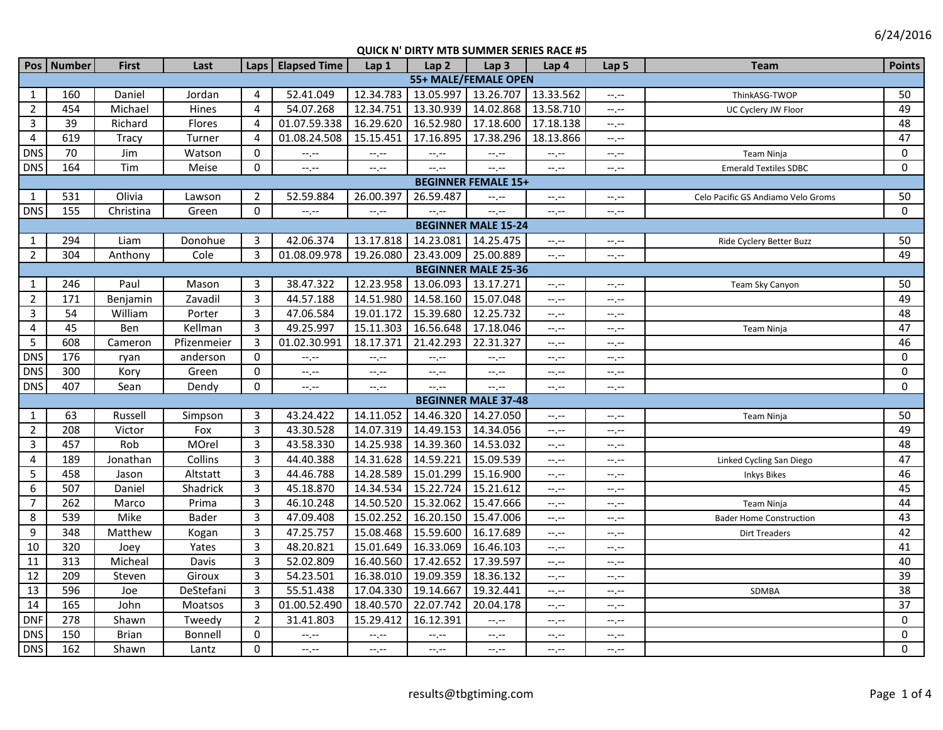6/24/2016

|                            | Pos Number      | <b>First</b> | Last         |                | Laps   Elapsed Time | Lap1             | Lap <sub>2</sub> | Lap <sub>3</sub>           | Lap 4            | Lap <sub>5</sub> | <b>Team</b>                        | <b>Points</b>   |
|----------------------------|-----------------|--------------|--------------|----------------|---------------------|------------------|------------------|----------------------------|------------------|------------------|------------------------------------|-----------------|
| 55+ MALE/FEMALE OPEN       |                 |              |              |                |                     |                  |                  |                            |                  |                  |                                    |                 |
| 1                          | 160             | Daniel       | Jordan       | 4              | 52.41.049           | 12.34.783        | 13.05.997        | 13.26.707                  | 13.33.562        | $-1, -1$         | ThinkASG-TWOP                      | 50              |
| $\overline{2}$             | 454             | Michael      | Hines        | $\overline{4}$ | 54.07.268           | 12.34.751        | 13.30.939        | 14.02.868                  | 13.58.710        | $-1$ , $-1$      | UC Cyclery JW Floor                | 49              |
| 3                          | $\overline{39}$ | Richard      | Flores       | 4              | 01.07.59.338        | 16.29.620        | 16.52.980        | 17.18.600                  | 17.18.138        | --.--            |                                    | 48              |
| $\overline{4}$             | 619             | Tracy        | Turner       | $\overline{4}$ | 01.08.24.508        | 15.15.451        | 17.16.895        | 17.38.296                  | 18.13.866        | --.--            |                                    | 47              |
| <b>DNS</b>                 | 70              | Jim          | Watson       | 0              | $-1, -1$            | $-1, -1$         | $-1, -1$         | $-1$ , $-1$                | $-1, -1$         | --.--            | Team Ninja                         | 0               |
| <b>DNS</b>                 | 164             | Tim          | Meise        | $\Omega$       | $-1$ , $-1$         | $-1$ , $-1$      | $-1$ .           | --.--                      | $--, --$         | --.--            | <b>Emerald Textiles SDBC</b>       | $\mathbf 0$     |
| <b>BEGINNER FEMALE 15+</b> |                 |              |              |                |                     |                  |                  |                            |                  |                  |                                    |                 |
| $\mathbf{1}$               | 531             | Olivia       | Lawson       | $\overline{2}$ | 52.59.884           | 26.00.397        | 26.59.487        | $--, --$                   | $-1 - 1 - 1 = 0$ | $-1, -1$         | Celo Pacific GS Andiamo Velo Groms | 50              |
| <b>DNS</b>                 | 155             | Christina    | Green        | $\mathbf 0$    | --,--               | $-1$             | $-1 - 1 - 1 = 0$ | $-1$ .                     | --.--            | --.--            |                                    | $\mathbf 0$     |
|                            |                 |              |              |                |                     |                  |                  | <b>BEGINNER MALE 15-24</b> |                  |                  |                                    |                 |
| $\mathbf{1}$               | 294             | Liam         | Donohue      | 3              | 42.06.374           | 13.17.818        | 14.23.081        | 14.25.475                  | $-1, -1$         | --.--            | Ride Cyclery Better Buzz           | 50              |
| $\overline{2}$             | 304             | Anthony      | Cole         | $\overline{3}$ | 01.08.09.978        | 19.26.080        | 23.43.009        | 25.00.889                  | $-1$             | $-1 - 1 - 1 = 0$ |                                    | 49              |
|                            |                 |              |              |                |                     |                  |                  | <b>BEGINNER MALE 25-36</b> |                  |                  |                                    |                 |
| $\mathbf{1}$               | 246             | Paul         | Mason        | 3              | 38.47.322           | 12.23.958        | 13.06.093        | 13.17.271                  | $-1 - 1 - 1 = 0$ | $-1, -1$         | Team Sky Canyon                    | 50              |
| $\overline{2}$             | 171             | Benjamin     | Zavadil      | 3              | 44.57.188           | 14.51.980        | 14.58.160        | 15.07.048                  | $--, --$         | $-1$ .           |                                    | 49              |
| 3                          | 54              | William      | Porter       | 3              | 47.06.584           | 19.01.172        | 15.39.680        | 12.25.732                  | $-1 - 1 - 1 = 0$ | --.--            |                                    | 48              |
| 4                          | 45              | Ben          | Kellman      | 3              | 49.25.997           | 15.11.303        | 16.56.648        | 17.18.046                  | $-1$ , $-1$      | --.--            | Team Ninja                         | 47              |
| 5                          | 608             | Cameron      | Pfizenmeier  | 3              | 01.02.30.991        | 18.17.371        | 21.42.293        | 22.31.327                  | $-1, -1$         | $-1, -1$         |                                    | 46              |
| <b>DNS</b>                 | 176             | ryan         | anderson     | 0              | $-1$ , $-1$         | $-1$ , $-1$      | $-1, -1$         | $--, --$                   | $--, --$         | $-1, -1$         |                                    | $\mathbf 0$     |
| <b>DNS</b>                 | 300             | Kory         | Green        | $\Omega$       | $-1$ , $-1$         | $-1, -1$         | $-1, -1$         | $-1$ , $-1$                | $-1 - 1 - 1 = 0$ | --.--            |                                    | $\pmb{0}$       |
| <b>DNS</b>                 | 407             | Sean         | Dendy        | $\mathbf 0$    | $-1$ , $-1$         | $-1, -1$         | $-1$ .           | $-1 - 1 - 1 = 0$           | $-1, -1$         | --.--            |                                    | $\mathbf 0$     |
|                            |                 |              |              |                |                     |                  |                  | <b>BEGINNER MALE 37-48</b> |                  |                  |                                    |                 |
| $\mathbf{1}$               | 63              | Russell      | Simpson      | 3              | 43.24.422           | 14.11.052        | 14.46.320        | 14.27.050                  | $-1$             | --.--            | <b>Team Ninja</b>                  | 50              |
| $\overline{2}$             | 208             | Victor       | Fox          | 3              | 43.30.528           | 14.07.319        | 14.49.153        | 14.34.056                  | $--, --$         | --.--            |                                    | 49              |
| $\mathbf{3}$               | 457             | Rob          | MOrel        | 3              | 43.58.330           | 14.25.938        | 14.39.360        | 14.53.032                  | $-1, -1$         | $-1$             |                                    | 48              |
| 4                          | 189             | Jonathan     | Collins      | $\overline{3}$ | 44.40.388           | 14.31.628        | 14.59.221        | 15.09.539                  | $-1 - 1 - 1 = 0$ | $-1, -1$         | Linked Cycling San Diego           | 47              |
| 5                          | 458             | Jason        | Altstatt     | 3              | 44.46.788           | 14.28.589        | 15.01.299        | 15.16.900                  | $--, --$         | --.--            | <b>Inkys Bikes</b>                 | 46              |
| 6                          | 507             | Daniel       | Shadrick     | 3              | 45.18.870           | 14.34.534        | 15.22.724        | 15.21.612                  | $-1, -1$         | $-1$ .           |                                    | 45              |
| $\overline{7}$             | 262             | Marco        | Prima        | 3              | 46.10.248           | 14.50.520        | 15.32.062        | 15.47.666                  | $-1$ , $-1$      | $-1, -1$         | Team Ninja                         | $\overline{44}$ |
| 8                          | 539             | Mike         | <b>Bader</b> | 3              | 47.09.408           | 15.02.252        | 16.20.150        | 15.47.006                  | $-1$             | $-1, -1$         | <b>Bader Home Construction</b>     | 43              |
| 9                          | 348             | Matthew      | Kogan        | 3              | 47.25.757           | 15.08.468        | 15.59.600        | 16.17.689                  | $-1 - 1 - 1 = 0$ | --.--            | <b>Dirt Treaders</b>               | 42              |
| 10                         | 320             | Joey         | Yates        | 3              | 48.20.821           | 15.01.649        | 16.33.069        | 16.46.103                  | $-1 - 1 - 1 = 0$ | --.--            |                                    | 41              |
| 11                         | 313             | Micheal      | Davis        | $\overline{3}$ | 52.02.809           | 16.40.560        | 17.42.652        | 17.39.597                  | $-1, -1$         | $-1, -1$         |                                    | 40              |
| 12                         | 209             | Steven       | Giroux       | 3              | 54.23.501           | 16.38.010        | 19.09.359        | 18.36.132                  | $-1, -1$         | --.--            |                                    | 39              |
| 13                         | 596             | Joe          | DeStefani    | 3              | 55.51.438           | 17.04.330        | 19.14.667        | 19.32.441                  | $-1 - 1 - 1 = 0$ | --.--            | SDMBA                              | 38              |
| 14                         | 165             | John         | Moatsos      | 3              | 01.00.52.490        | 18.40.570        | 22.07.742        | 20.04.178                  | $--, --$         | $-1, -1$         |                                    | 37              |
| <b>DNF</b>                 | 278             | Shawn        | Tweedy       | $\overline{2}$ | 31.41.803           | 15.29.412        | 16.12.391        | --.--                      | $-1 - 1 - 1 = 0$ | $-1, -1$         |                                    | $\mathbf 0$     |
| <b>DNS</b>                 | 150             | <b>Brian</b> | Bonnell      | 0              | $-1 - 1 - 1 = 0$    | $-1 - 1 - 1 = 0$ | $-1$ . $-1$      | $--, --$                   | $-1, -1$         | --.--            |                                    | $\mathbf 0$     |
| <b>DNS</b>                 | 162             | Shawn        | Lantz        | $\Omega$       | $-1, -1$            | $-1 - 1 - 1 = 0$ | $-1, -1$         | $-1$ , $-1$                | $-1, -1$         | --.--            |                                    | $\pmb{0}$       |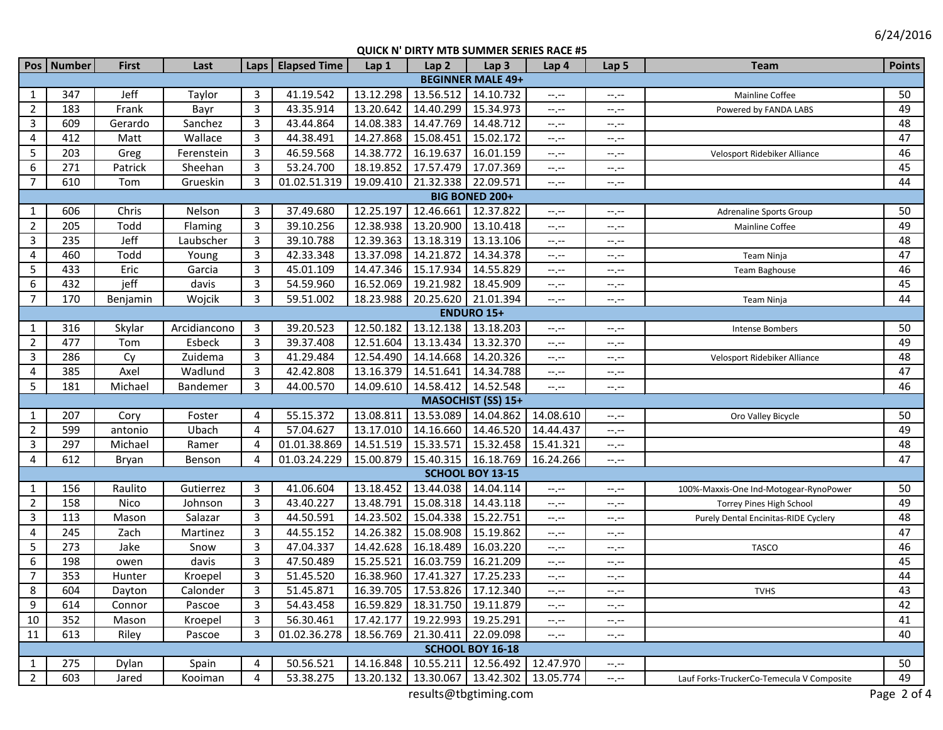|                          | Pos   Number          | <b>First</b> | Last         |                | Laps   Elapsed Time | Lap 1     | Lap <sub>2</sub>                  | Lap <sub>3</sub>                              | Lap 4            | Lap 5                                         | <b>Team</b>                               | <b>Points</b> |
|--------------------------|-----------------------|--------------|--------------|----------------|---------------------|-----------|-----------------------------------|-----------------------------------------------|------------------|-----------------------------------------------|-------------------------------------------|---------------|
| <b>BEGINNER MALE 49+</b> |                       |              |              |                |                     |           |                                   |                                               |                  |                                               |                                           |               |
| 1                        | 347                   | Jeff         | Taylor       | 3              | 41.19.542           | 13.12.298 |                                   | 13.56.512 14.10.732                           | $-,-$            | $-1, -1$                                      | Mainline Coffee                           | 50            |
| $\overline{2}$           | 183                   | Frank        | Bayr         | $\overline{3}$ | 43.35.914           | 13.20.642 | 14.40.299                         | 15.34.973                                     | --.--            | --.--                                         | Powered by FANDA LABS                     | 49            |
| $\overline{3}$           | 609                   | Gerardo      | Sanchez      | 3              | 43.44.864           | 14.08.383 | 14.47.769                         | 14.48.712                                     | --.--            | --,--                                         |                                           | 48            |
| 4                        | 412                   | Matt         | Wallace      | $\overline{3}$ | 44.38.491           | 14.27.868 | 15.08.451                         | 15.02.172                                     | $--, --$         | $\scriptstyle \cdots, \scriptstyle \cdots$    |                                           | 47            |
| 5                        | 203                   | Greg         | Ferenstein   | 3              | 46.59.568           | 14.38.772 | 16.19.637                         | 16.01.159                                     | $-1, -1$         | $\mathrel{\mathop:}=$ , $\mathrel{\mathop:}=$ | Velosport Ridebiker Alliance              | 46            |
| 6                        | 271                   | Patrick      | Sheehan      | 3              | 53.24.700           | 18.19.852 | 17.57.479                         | 17.07.369                                     | $-1, -1$         | $--, --$                                      |                                           | 45            |
| $\overline{7}$           | 610                   | Tom          | Grueskin     | 3              | 01.02.51.319        | 19.09.410 | 21.32.338                         | 22.09.571                                     | $-1, -1$         | $-1, -1$                                      |                                           | 44            |
|                          | <b>BIG BONED 200+</b> |              |              |                |                     |           |                                   |                                               |                  |                                               |                                           |               |
| 1                        | 606                   | Chris        | Nelson       | 3              | 37.49.680           | 12.25.197 | 12.46.661                         | 12.37.822                                     | $-1$             | $-1, -1$                                      | <b>Adrenaline Sports Group</b>            | 50            |
| $\overline{2}$           | 205                   | Todd         | Flaming      | 3              | 39.10.256           | 12.38.938 | 13.20.900                         | 13.10.418                                     | $-1$             | $-1, -1$                                      | Mainline Coffee                           | 49            |
| $\mathbf{3}$             | 235                   | Jeff         | Laubscher    | 3              | 39.10.788           | 12.39.363 | 13.18.319                         | 13.13.106                                     | $-1$             | $-1$                                          |                                           | 48            |
| 4                        | 460                   | Todd         | Young        | 3              | 42.33.348           | 13.37.098 | 14.21.872                         | 14.34.378                                     | --.--            | --,--                                         | Team Ninja                                | 47            |
| 5                        | 433                   | Eric         | Garcia       | 3              | 45.01.109           | 14.47.346 | 15.17.934                         | 14.55.829                                     | $-1$             | $-1$                                          | Team Baghouse                             | 46            |
| 6                        | 432                   | jeff         | davis        | 3              | 54.59.960           | 16.52.069 | 19.21.982                         | 18.45.909                                     | --.--            | $-1, -1$                                      |                                           | 45            |
| $\overline{7}$           | 170                   | Benjamin     | Wojcik       | 3              | 59.51.002           | 18.23.988 |                                   | 20.25.620 21.01.394                           | --.--            | $-1, -1$                                      | Team Ninja                                | 44            |
|                          |                       |              |              |                |                     |           |                                   | <b>ENDURO 15+</b>                             |                  |                                               |                                           |               |
| 1                        | 316                   | Skylar       | Arcidiancono | 3              | 39.20.523           | 12.50.182 | 13.12.138                         | 13.18.203                                     | --.--            | $-1, -1$                                      | Intense Bombers                           | 50            |
| $\overline{2}$           | 477                   | Tom          | Esbeck       | 3              | 39.37.408           | 12.51.604 | 13.13.434                         | 13.32.370                                     | --.--            | $-1, -1$                                      |                                           | 49            |
| 3                        | 286                   | Cy           | Zuidema      | 3              | 41.29.484           | 12.54.490 | 14.14.668<br>14.51.641            | 14.20.326<br>14.34.788                        | --.--            | $-1, -1$                                      | Velosport Ridebiker Alliance              | 48            |
| 4                        | 385<br>181            | Axel         | Wadlund      | 3<br>3         | 42.42.808           | 13.16.379 | 14.58.412                         | 14.52.548                                     | --.--            | $-1, -1$                                      |                                           | 47<br>46      |
| 5                        |                       | Michael      | Bandemer     |                | 44.00.570           | 14.09.610 |                                   | <b>MASOCHIST (SS) 15+</b>                     | $-1, -1$         | $-1, -1$                                      |                                           |               |
| $\mathbf{1}$             | 207                   | Cory         | Foster       | 4              | 55.15.372           | 13.08.811 | 13.53.089                         | 14.04.862                                     | 14.08.610        | $-1, -1$                                      | Oro Valley Bicycle                        | 50            |
| $\overline{2}$           | 599                   | antonio      | Ubach        | $\overline{4}$ | 57.04.627           | 13.17.010 | 14.16.660                         | 14.46.520                                     | 14.44.437        | $-1, -1$                                      |                                           | 49            |
| $\mathbf{3}$             | 297                   | Michael      | Ramer        | 4              | 01.01.38.869        | 14.51.519 | 15.33.571                         | 15.32.458                                     | 15.41.321        | $-1, -1$                                      |                                           | 48            |
| $\overline{4}$           | 612                   | Bryan        | Benson       | 4              | 01.03.24.229        | 15.00.879 | 15.40.315 16.18.769               |                                               | 16.24.266        | $--, --$                                      |                                           | 47            |
|                          |                       |              |              |                |                     |           |                                   | SCHOOL BOY 13-15                              |                  |                                               |                                           |               |
| 1                        | 156                   | Raulito      | Gutierrez    | 3              | 41.06.604           | 13.18.452 | 13.44.038                         | 14.04.114                                     | $-,-$            | $-1, -1$                                      | 100%-Maxxis-One Ind-Motogear-RynoPower    | 50            |
| $\overline{2}$           | 158                   | Nico         | Johnson      | $\overline{3}$ | 43.40.227           | 13.48.791 | 15.08.318                         | 14.43.118                                     | $-,-$            | $--, --$                                      | Torrey Pines High School                  | 49            |
| 3                        | 113                   | Mason        | Salazar      | 3              | 44.50.591           | 14.23.502 | 15.04.338                         | 15.22.751                                     | $-1, -1$         | $-1, -1$                                      | Purely Dental Encinitas-RIDE Cyclery      | 48            |
| 4                        | 245                   | Zach         | Martinez     | 3              | 44.55.152           | 14.26.382 | 15.08.908                         | 15.19.862                                     | $-1, -1$         | $-1, -1$                                      |                                           | 47            |
| 5                        | 273                   | Jake         | Snow         | 3              | 47.04.337           | 14.42.628 | 16.18.489                         | 16.03.220                                     | $-1, -1$         | $-1 - 1 - 1 = 0$                              | <b>TASCO</b>                              | 46            |
| 6                        | 198                   | owen         | davis        | 3              | 47.50.489           | 15.25.521 | 16.03.759                         | 16.21.209                                     | --.--            | $-1, -1$                                      |                                           | 45            |
| $\overline{7}$           | 353                   | Hunter       | Kroepel      | 3              | 51.45.520           | 16.38.960 | 17.41.327                         | 17.25.233                                     | $-1$ . $-1$      | $-1, -1$                                      |                                           | 44            |
| 8                        | 604                   | Dayton       | Calonder     | 3              | 51.45.871           |           | 16.39.705 17.53.826 17.12.340     |                                               | $-1 - 1 - 1 = 0$ | $-1$ , $-1$                                   | <b>TVHS</b>                               | 43            |
| 9                        | 614                   | Connor       | Pascoe       | 3              | 54.43.458           |           | 16.59.829   18.31.750   19.11.879 |                                               | $-1, -1$         | $-1, -1$                                      |                                           | 42            |
| 10                       | 352                   | Mason        | Kroepel      | 3              | 56.30.461           | 17.42.177 | 19.22.993 19.25.291               |                                               | --.--            | $-1, -1$                                      |                                           | 41            |
| 11                       | 613                   | Riley        | Pascoe       | 3              | 01.02.36.278        | 18.56.769 | 21.30.411 22.09.098               |                                               | $-1, -1$         | $-1, -1$                                      |                                           | 40            |
|                          |                       |              |              |                |                     |           |                                   | <b>SCHOOL BOY 16-18</b>                       |                  |                                               |                                           |               |
| $\mathbf{1}$             | 275                   | Dylan        | Spain        | $\overline{4}$ | 50.56.521           |           |                                   | 14.16.848   10.55.211   12.56.492   12.47.970 |                  | --.--                                         |                                           | 50            |
| $\overline{2}$           | 603                   | Jared        | Kooiman      | $\overline{4}$ | 53.38.275           |           |                                   | 13.20.132   13.30.067   13.42.302   13.05.774 |                  | $-1$                                          | Lauf Forks-TruckerCo-Temecula V Composite | 49            |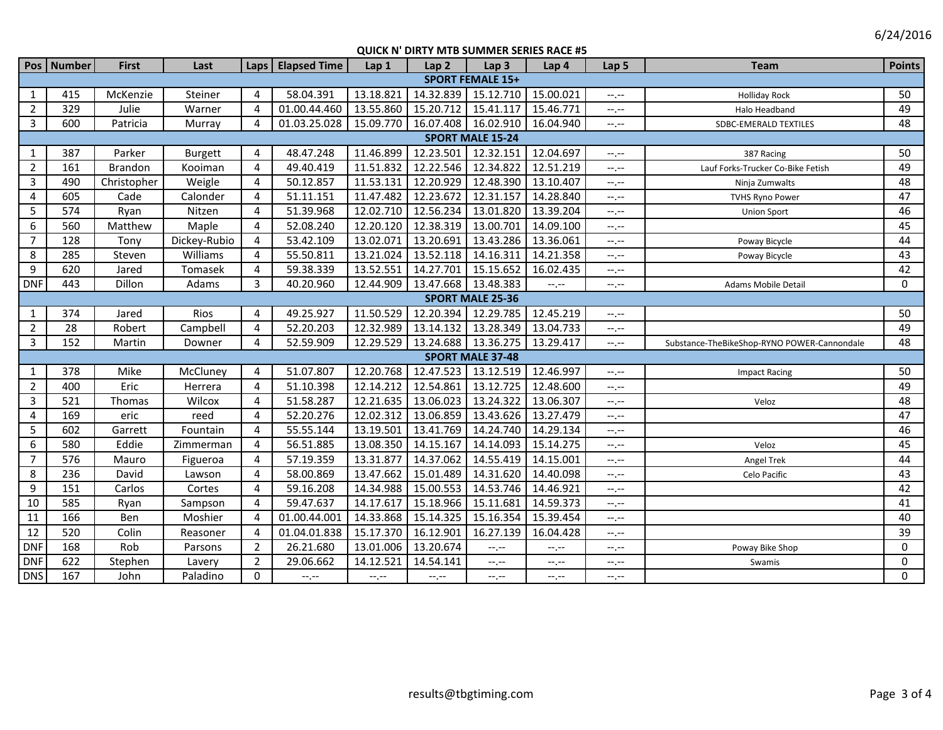6/24/2016

|                         | Pos   Number | <b>First</b> | Last           |                       | Laps   Elapsed Time | Lap 1                 | Lap <sub>2</sub> | Lap <sub>3</sub>              | Lap 4     | Lap 5            | <b>Team</b>                                 | <b>Points</b> |
|-------------------------|--------------|--------------|----------------|-----------------------|---------------------|-----------------------|------------------|-------------------------------|-----------|------------------|---------------------------------------------|---------------|
| <b>SPORT FEMALE 15+</b> |              |              |                |                       |                     |                       |                  |                               |           |                  |                                             |               |
| 1                       | 415          | McKenzie     | Steiner        | 4                     | 58.04.391           | 13.18.821             | 14.32.839        | 15.12.710                     | 15.00.021 | $-1, -1$         | <b>Holliday Rock</b>                        | 50            |
| $\overline{2}$          | 329          | Julie        | Warner         | $\boldsymbol{\Delta}$ | 01.00.44.460        | 13.55.860             | 15.20.712        | 15.41.117                     | 15.46.771 | $-1 - 1 - 1 = 0$ | Halo Headband                               | 49            |
| 3                       | 600          | Patricia     | Murray         | $\overline{4}$        | 01.03.25.028        | 15.09.770             |                  | 16.07.408 16.02.910 16.04.940 |           | $-1$ .           | SDBC-EMERALD TEXTILES                       | 48            |
| <b>SPORT MALE 15-24</b> |              |              |                |                       |                     |                       |                  |                               |           |                  |                                             |               |
| 1                       | 387          | Parker       | <b>Burgett</b> | 4                     | 48.47.248           | 11.46.899             | 12.23.501        | 12.32.151                     | 12.04.697 | --.--            | 387 Racing                                  | 50            |
| $\overline{2}$          | 161          | Brandon      | Kooiman        | $\overline{4}$        | 49.40.419           | 11.51.832             | 12.22.546        | 12.34.822                     | 12.51.219 | $-1$             | Lauf Forks-Trucker Co-Bike Fetish           | 49            |
| $\overline{3}$          | 490          | Christopher  | Weigle         | 4                     | 50.12.857           | 11.53.131             | 12.20.929        | 12.48.390                     | 13.10.407 | --.--            | Ninja Zumwalts                              | 48            |
| $\overline{4}$          | 605          | Cade         | Calonder       | 4                     | 51.11.151           | 11.47.482             | 12.23.672        | 12.31.157                     | 14.28.840 | $-1$             | <b>TVHS Ryno Power</b>                      | 47            |
| 5                       | 574          | Ryan         | Nitzen         | $\overline{4}$        | 51.39.968           | 12.02.710             | 12.56.234        | 13.01.820                     | 13.39.204 | --.--            | <b>Union Sport</b>                          | 46            |
| 6                       | 560          | Matthew      | Maple          | $\overline{4}$        | 52.08.240           | 12.20.120             | 12.38.319        | 13.00.701                     | 14.09.100 | --.--            |                                             | 45            |
| $\overline{7}$          | 128          | Tony         | Dickey-Rubio   | 4                     | 53.42.109           | 13.02.071             | 13.20.691        | 13.43.286                     | 13.36.061 | --.--            | Poway Bicycle                               | 44            |
| 8                       | 285          | Steven       | Williams       | $\overline{4}$        | 55.50.811           | 13.21.024             | 13.52.118        | 14.16.311                     | 14.21.358 | --,--            | Poway Bicycle                               | 43            |
| 9                       | 620          | Jared        | Tomasek        | 4                     | 59.38.339           | 13.52.551             | 14.27.701        | 15.15.652                     | 16.02.435 | $-1$ .           |                                             | 42            |
| <b>DNF</b>              | 443          | Dillon       | Adams          | 3                     | 40.20.960           | 12.44.909             | 13.47.668        | 13.48.383                     | $--, --$  | $-1, -1$         | Adams Mobile Detail                         | $\mathbf 0$   |
|                         |              |              |                |                       |                     |                       |                  | <b>SPORT MALE 25-36</b>       |           |                  |                                             |               |
| $\mathbf{1}$            | 374          | Jared        | Rios           | $\overline{4}$        | 49.25.927           | 11.50.529             | 12.20.394        | 12.29.785                     | 12.45.219 | $-1 - 1 - 1 = 0$ |                                             | 50            |
| $\overline{2}$          | 28           | Robert       | Campbell       | $\overline{4}$        | 52.20.203           | 12.32.989             | 13.14.132        | 13.28.349                     | 13.04.733 | $-1$             |                                             | 49            |
| 3                       | 152          | Martin       | Downer         | 4                     | 52.59.909           | 12.29.529             |                  | 13.24.688 13.36.275           | 13.29.417 | --.--            | Substance-TheBikeShop-RYNO POWER-Cannondale | 48            |
|                         |              |              |                |                       |                     |                       |                  | <b>SPORT MALE 37-48</b>       |           |                  |                                             |               |
| 1                       | 378          | Mike         | McCluney       | $\overline{4}$        | 51.07.807           | 12.20.768             | 12.47.523        | 13.12.519                     | 12.46.997 | --.--            | <b>Impact Racing</b>                        | 50            |
| $\overline{2}$          | 400          | Eric         | Herrera        | 4                     | 51.10.398           | 12.14.212             | 12.54.861        | 13.12.725                     | 12.48.600 | $-1 - 1 - 1 = 0$ |                                             | 49            |
| $\mathbf{3}$            | 521          | Thomas       | Wilcox         | $\overline{4}$        | 51.58.287           | 12.21.635             | 13.06.023        | 13.24.322                     | 13.06.307 | --,--            | Veloz                                       | 48            |
| $\overline{4}$          | 169          | eric         | reed           | $\overline{4}$        | 52.20.276           | 12.02.312             | 13.06.859        | 13.43.626                     | 13.27.479 | --.--            |                                             | 47            |
| 5                       | 602          | Garrett      | Fountain       | 4                     | 55.55.144           | 13.19.501             | 13.41.769        | 14.24.740                     | 14.29.134 | $-1$             |                                             | 46            |
| 6                       | 580          | Eddie        | Zimmerman      | $\overline{4}$        | 56.51.885           | 13.08.350             | 14.15.167        | 14.14.093                     | 15.14.275 | $-1$             | Veloz                                       | 45            |
| $\overline{7}$          | 576          | Mauro        | Figueroa       | 4                     | 57.19.359           | 13.31.877             | 14.37.062        | 14.55.419                     | 14.15.001 | --.--            | Angel Trek                                  | 44            |
| 8                       | 236          | David        | Lawson         | 4                     | 58.00.869           | 13.47.662             | 15.01.489        | 14.31.620                     | 14.40.098 | $-1$ .           | Celo Pacific                                | 43            |
| 9                       | 151          | Carlos       | Cortes         | 4                     | 59.16.208           | 14.34.988             | 15.00.553        | 14.53.746                     | 14.46.921 | --.--            |                                             | 42            |
| 10                      | 585          | Ryan         | Sampson        | 4                     | 59.47.637           | 14.17.617             | 15.18.966        | 15.11.681                     | 14.59.373 | $-1$ , $-1$      |                                             | 41            |
| 11                      | 166          | Ben          | Moshier        | $\overline{a}$        | 01.00.44.001        | 14.33.868             | 15.14.325        | 15.16.354                     | 15.39.454 | --.--            |                                             | 40            |
| 12                      | 520          | Colin        | Reasoner       | $\overline{a}$        | 01.04.01.838        | 15.17.370             | 16.12.901        | 16.27.139                     | 16.04.428 | --.--            |                                             | 39            |
| <b>DNF</b>              | 168          | Rob          | Parsons        | $\overline{2}$        | 26.21.680           | 13.01.006             | 13.20.674        | $-1, -1$                      | --.--     | $-1, -1$         | Poway Bike Shop                             | 0             |
| <b>DNF</b>              | 622          | Stephen      | Lavery         | 2                     | 29.06.662           | 14.12.521             | 14.54.141        | $-1$ , $-1$                   | --.--     | $-1$             | Swamis                                      | $\mathbf 0$   |
| <b>DNS</b>              | 167          | John         | Paladino       | $\mathbf 0$           | $-1, -1$            | $-\text{-},\text{-}-$ | $--, --$         | $--, --$                      | $-,-$     | --.--            |                                             | $\mathbf 0$   |